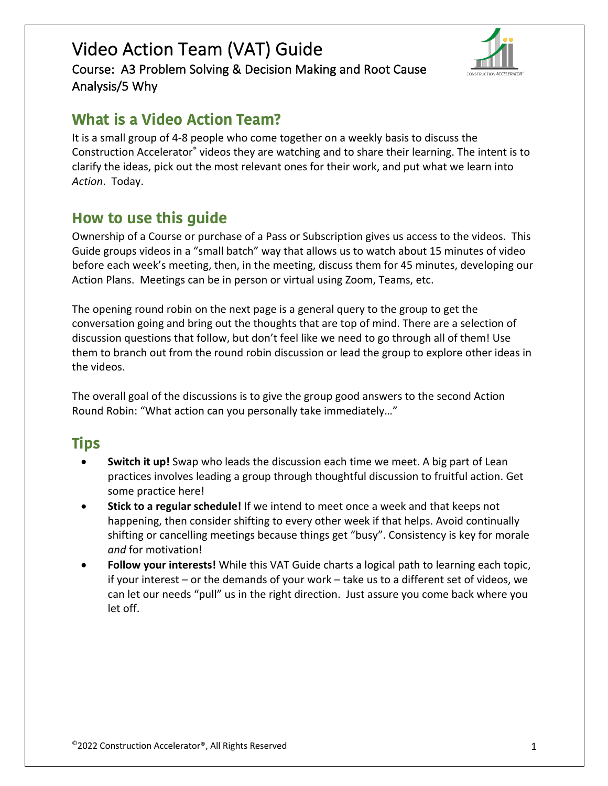Course: A3 Problem Solving & Decision Making and Root Cause Analysis/5 Why



## **What is a Video Action Team?**

It is a small group of 4-8 people who come together on a weekly basis to discuss the Construction Accelerator® videos they are watching and to share their learning. The intent is to clarify the ideas, pick out the most relevant ones for their work, and put what we learn into *Action*. Today.

## **How to use this guide**

Ownership of a Course or purchase of a Pass or Subscription gives us access to the videos. This Guide groups videos in a "small batch" way that allows us to watch about 15 minutes of video before each week's meeting, then, in the meeting, discuss them for 45 minutes, developing our Action Plans. Meetings can be in person or virtual using Zoom, Teams, etc.

The opening round robin on the next page is a general query to the group to get the conversation going and bring out the thoughts that are top of mind. There are a selection of discussion questions that follow, but don't feel like we need to go through all of them! Use them to branch out from the round robin discussion or lead the group to explore other ideas in the videos.

The overall goal of the discussions is to give the group good answers to the second Action Round Robin: "What action can you personally take immediately…"

# **Tips**

- **Switch it up!** Swap who leads the discussion each time we meet. A big part of Lean practices involves leading a group through thoughtful discussion to fruitful action. Get some practice here!
- **Stick to a regular schedule!** If we intend to meet once a week and that keeps not happening, then consider shifting to every other week if that helps. Avoid continually shifting or cancelling meetings because things get "busy". Consistency is key for morale *and* for motivation!
- **Follow your interests!** While this VAT Guide charts a logical path to learning each topic, if your interest – or the demands of your work – take us to a different set of videos, we can let our needs "pull" us in the right direction. Just assure you come back where you let off.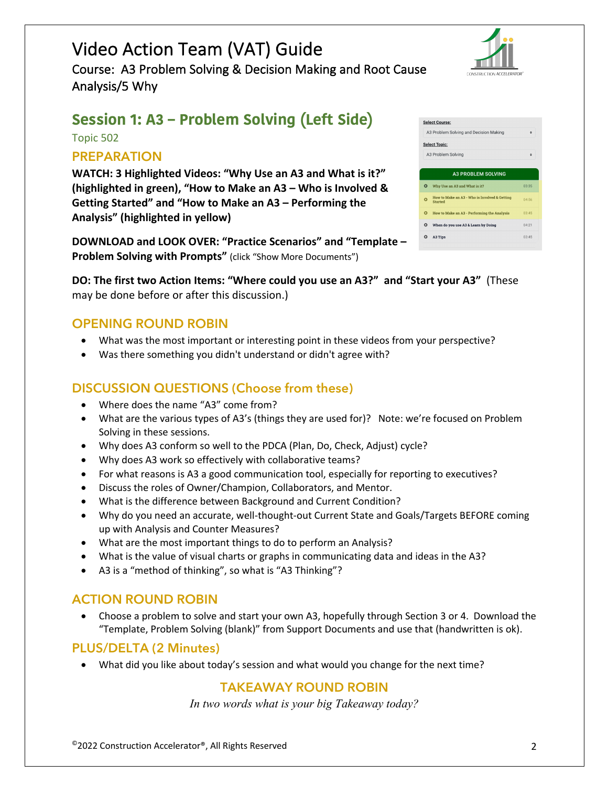Course: A3 Problem Solving & Decision Making and Root Cause Analysis/5 Why



# **Session 1: A3 – Problem Solving (Left Side)**

Topic 502

## **PREPARATION**

**WATCH: 3 Highlighted Videos: "Why Use an A3 and What is it?" (highlighted in green), "How to Make an A3 – Who is Involved & Getting Started" and "How to Make an A3 – Performing the Analysis" (highlighted in yellow)**

**DOWNLOAD and LOOK OVER: "Practice Scenarios" and "Template – Problem Solving with Prompts"** (click "Show More Documents")

**DO: The first two Action Items: "Where could you use an A3?" and "Start your A3"** (These may be done before or after this discussion.)

#### **OPENING ROUND ROBIN**

- What was the most important or interesting point in these videos from your perspective?
- Was there something you didn't understand or didn't agree with?

### **DISCUSSION QUESTIONS (Choose from these)**

- Where does the name "A3" come from?
- What are the various types of A3's (things they are used for)? Note: we're focused on Problem Solving in these sessions.
- Why does A3 conform so well to the PDCA (Plan, Do, Check, Adjust) cycle?
- Why does A3 work so effectively with collaborative teams?
- For what reasons is A3 a good communication tool, especially for reporting to executives?
- Discuss the roles of Owner/Champion, Collaborators, and Mentor.
- What is the difference between Background and Current Condition?
- Why do you need an accurate, well-thought-out Current State and Goals/Targets BEFORE coming up with Analysis and Counter Measures?
- What are the most important things to do to perform an Analysis?
- What is the value of visual charts or graphs in communicating data and ideas in the A3?
- A3 is a "method of thinking", so what is "A3 Thinking"?

#### **ACTION ROUND ROBIN**

• Choose a problem to solve and start your own A3, hopefully through Section 3 or 4. Download the "Template, Problem Solving (blank)" from Support Documents and use that (handwritten is ok).

#### **PLUS/DELTA (2 Minutes)**

• What did you like about today's session and what would you change for the next time?

#### **TAKEAWAY ROUND ROBIN**

*In two words what is your big Takeaway today?*



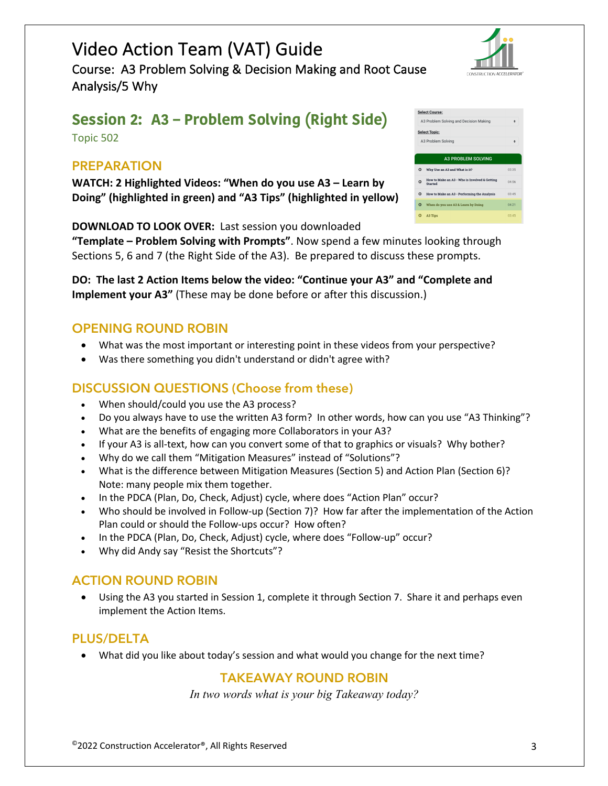Course: A3 Problem Solving & Decision Making and Root Cause Analysis/5 Why

# **Session 2: A3 – Problem Solving (Right Side)**

Topic 502

#### **PREPARATION**

**WATCH: 2 Highlighted Videos: "When do you use A3 – Learn by Doing" (highlighted in green) and "A3 Tips" (highlighted in yellow)**

**DOWNLOAD TO LOOK OVER:** Last session you downloaded

**"Template – Problem Solving with Prompts"**. Now spend a few minutes looking through Sections 5, 6 and 7 (the Right Side of the A3). Be prepared to discuss these prompts.

**DO: The last 2 Action Items below the video: "Continue your A3" and "Complete and Implement your A3"** (These may be done before or after this discussion.)

### **OPENING ROUND ROBIN**

- What was the most important or interesting point in these videos from your perspective?
- Was there something you didn't understand or didn't agree with?

### **DISCUSSION QUESTIONS (Choose from these)**

- When should/could you use the A3 process?
- Do you always have to use the written A3 form? In other words, how can you use "A3 Thinking"?
- What are the benefits of engaging more Collaborators in your A3?
- If your A3 is all-text, how can you convert some of that to graphics or visuals? Why bother?
- Why do we call them "Mitigation Measures" instead of "Solutions"?
- What is the difference between Mitigation Measures (Section 5) and Action Plan (Section 6)? Note: many people mix them together.
- In the PDCA (Plan, Do, Check, Adjust) cycle, where does "Action Plan" occur?
- Who should be involved in Follow-up (Section 7)? How far after the implementation of the Action Plan could or should the Follow-ups occur? How often?
- In the PDCA (Plan, Do, Check, Adjust) cycle, where does "Follow-up" occur?
- Why did Andy say "Resist the Shortcuts"?

### **ACTION ROUND ROBIN**

• Using the A3 you started in Session 1, complete it through Section 7. Share it and perhaps even implement the Action Items.

### **PLUS/DELTA**

• What did you like about today's session and what would you change for the next time?

### **TAKEAWAY ROUND ROBIN**

*In two words what is your big Takeaway today?*

| CONSTRUCTION ACCELERATOR®          |       |
|------------------------------------|-------|
| Course:                            |       |
| roblem Solving and Decision Making |       |
| Topic:                             |       |
| roblem Solving                     | ٠     |
|                                    |       |
| <b>A3 PROBLEM SOLVING</b>          |       |
| hy Use an A3 and What is it?       | 03:35 |

 $\bullet$  How to Make an A3 - Who is Involved & Getting<br>Started

O When do you use A3 & Learn by

Select A<sub>3</sub>F Select A<sub>3</sub>F

 $Q = V$ 

 $Q$  A3 Tips